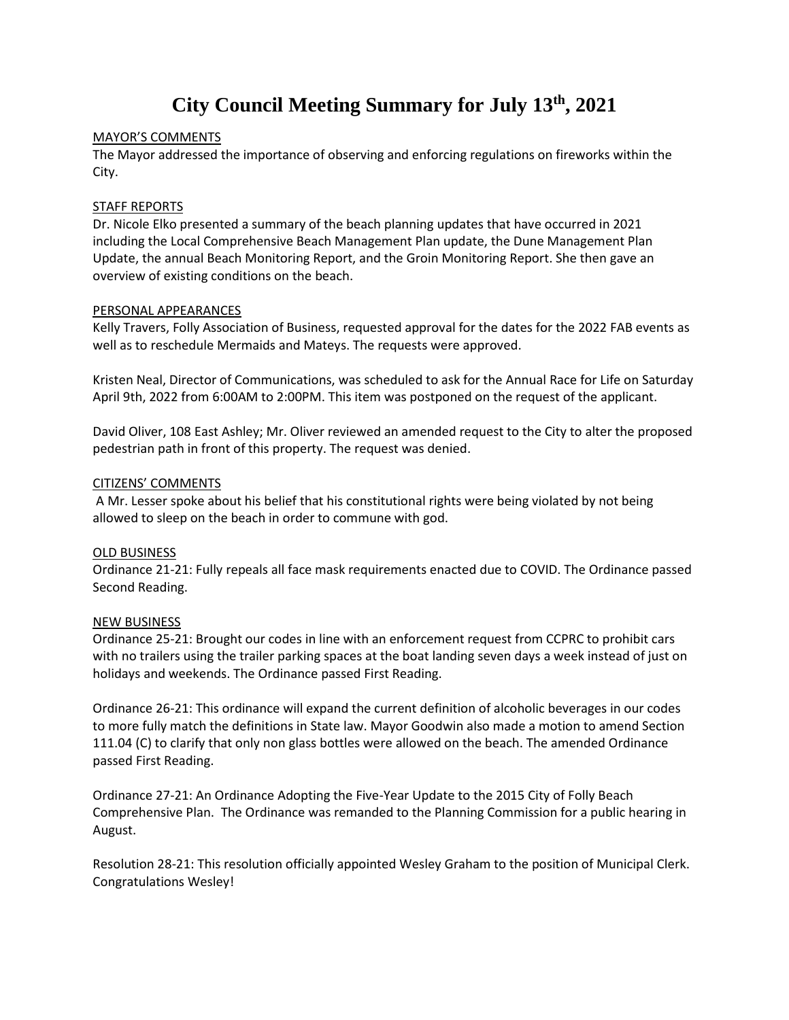# **City Council Meeting Summary for July 13th, 2021**

#### MAYOR'S COMMENTS

The Mayor addressed the importance of observing and enforcing regulations on fireworks within the City.

### STAFF REPORTS

Dr. Nicole Elko presented a summary of the beach planning updates that have occurred in 2021 including the Local Comprehensive Beach Management Plan update, the Dune Management Plan Update, the annual Beach Monitoring Report, and the Groin Monitoring Report. She then gave an overview of existing conditions on the beach.

#### PERSONAL APPEARANCES

Kelly Travers, Folly Association of Business, requested approval for the dates for the 2022 FAB events as well as to reschedule Mermaids and Mateys. The requests were approved.

Kristen Neal, Director of Communications, was scheduled to ask for the Annual Race for Life on Saturday April 9th, 2022 from 6:00AM to 2:00PM. This item was postponed on the request of the applicant.

David Oliver, 108 East Ashley; Mr. Oliver reviewed an amended request to the City to alter the proposed pedestrian path in front of this property. The request was denied.

## CITIZENS' COMMENTS

A Mr. Lesser spoke about his belief that his constitutional rights were being violated by not being allowed to sleep on the beach in order to commune with god.

# OLD BUSINESS

Ordinance 21-21: Fully repeals all face mask requirements enacted due to COVID. The Ordinance passed Second Reading.

# NEW BUSINESS

Ordinance 25-21: Brought our codes in line with an enforcement request from CCPRC to prohibit cars with no trailers using the trailer parking spaces at the boat landing seven days a week instead of just on holidays and weekends. The Ordinance passed First Reading.

Ordinance 26-21: This ordinance will expand the current definition of alcoholic beverages in our codes to more fully match the definitions in State law. Mayor Goodwin also made a motion to amend Section 111.04 (C) to clarify that only non glass bottles were allowed on the beach. The amended Ordinance passed First Reading.

Ordinance 27-21: An Ordinance Adopting the Five-Year Update to the 2015 City of Folly Beach Comprehensive Plan. The Ordinance was remanded to the Planning Commission for a public hearing in August.

Resolution 28-21: This resolution officially appointed Wesley Graham to the position of Municipal Clerk. Congratulations Wesley!